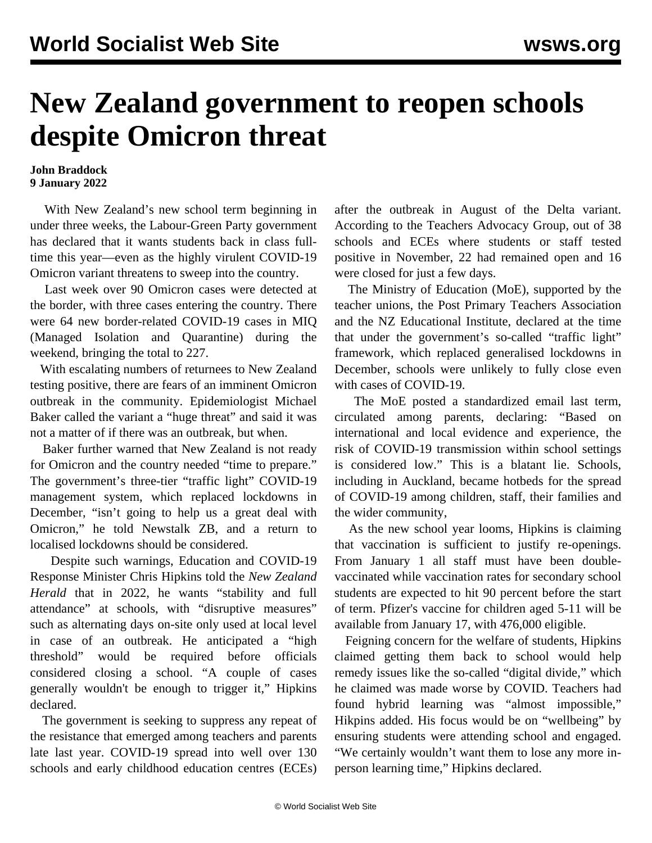## **New Zealand government to reopen schools despite Omicron threat**

## **John Braddock 9 January 2022**

 With New Zealand's new school term beginning in under three weeks, the Labour-Green Party government has declared that it wants students back in class fulltime this year—even as the highly virulent COVID-19 Omicron variant threatens to sweep into the country.

 Last week over 90 Omicron cases were detected at the border, with three cases entering the country. There were 64 new border-related COVID-19 cases in MIQ (Managed Isolation and Quarantine) during the weekend, bringing the total to 227.

 With escalating numbers of returnees to New Zealand testing positive, there are fears of an imminent Omicron outbreak in the community. Epidemiologist Michael Baker called the variant a "huge threat" and said it was not a matter of if there was an outbreak, but when.

 Baker further warned that New Zealand is not ready for Omicron and the country needed "time to prepare." The government's three-tier "traffic light" COVID-19 management system, which replaced lockdowns in December, "isn't going to help us a great deal with Omicron," he told Newstalk ZB, and a return to localised lockdowns should be considered.

 Despite such warnings, Education and COVID-19 Response Minister Chris Hipkins told the *New Zealand Herald* that in 2022, he wants "stability and full attendance" at schools, with "disruptive measures" such as alternating days on-site only used at local level in case of an outbreak. He anticipated a "high threshold" would be required before officials considered closing a school. "A couple of cases generally wouldn't be enough to trigger it," Hipkins declared.

 The government is seeking to suppress any repeat of the resistance that emerged among teachers and parents late last year. COVID-19 spread into well over 130 schools and early childhood education centres (ECEs) after the outbreak in August of the Delta variant. According to the Teachers Advocacy Group, out of 38 schools and ECEs where students or staff tested positive in November, 22 had remained open and 16 were closed for just a few days.

 The Ministry of Education (MoE), supported by the teacher unions, the Post Primary Teachers Association and the NZ Educational Institute, declared at the time that under the government's so-called "traffic light" framework, which replaced generalised lockdowns in December, schools were unlikely to fully close even with cases of COVID-19.

 The MoE posted a standardized email last term, circulated among parents, declaring: "Based on international and local evidence and experience, the risk of COVID-19 transmission within school settings is considered low." This is a blatant lie. Schools, including in Auckland, became hotbeds for the spread of COVID-19 among children, staff, their families and the wider community,

 As the new school year looms, Hipkins is claiming that vaccination is sufficient to justify re-openings. From January 1 all staff must have been doublevaccinated while vaccination rates for secondary school students are expected to hit 90 percent before the start of term. Pfizer's vaccine for children aged 5-11 will be available from January 17, with 476,000 eligible.

 Feigning concern for the welfare of students, Hipkins claimed getting them back to school would help remedy issues like the so-called "digital divide," which he claimed was made worse by COVID. Teachers had found hybrid learning was "almost impossible," Hikpins added. His focus would be on "wellbeing" by ensuring students were attending school and engaged. "We certainly wouldn't want them to lose any more inperson learning time," Hipkins declared.